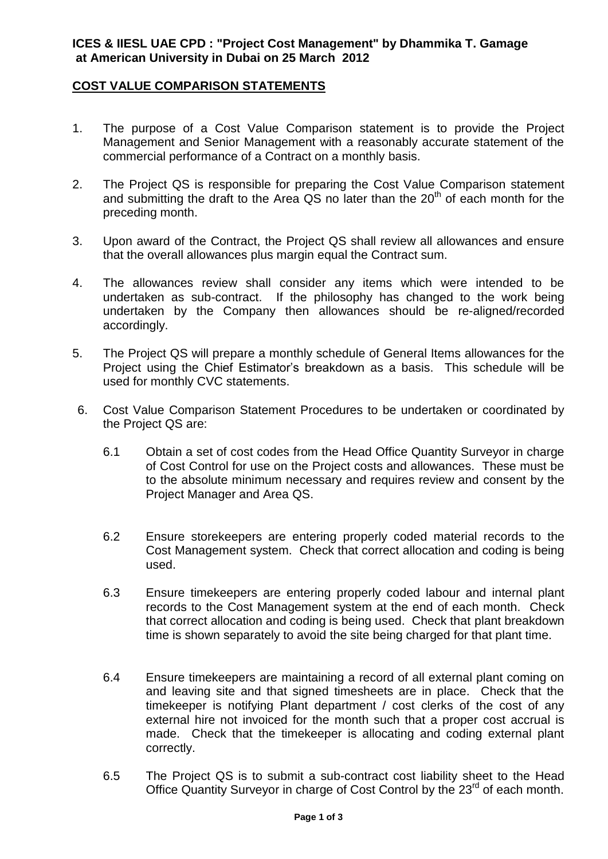#### **ICES & IIESL UAE CPD : "Project Cost Management" by Dhammika T. Gamage at American University in Dubai on 25 March 2012**

# **COST VALUE COMPARISON STATEMENTS**

- 1. The purpose of a Cost Value Comparison statement is to provide the Project Management and Senior Management with a reasonably accurate statement of the commercial performance of a Contract on a monthly basis.
- 2. The Project QS is responsible for preparing the Cost Value Comparison statement and submitting the draft to the Area QS no later than the 20<sup>th</sup> of each month for the preceding month.
- 3. Upon award of the Contract, the Project QS shall review all allowances and ensure that the overall allowances plus margin equal the Contract sum.
- 4. The allowances review shall consider any items which were intended to be undertaken as sub-contract. If the philosophy has changed to the work being undertaken by the Company then allowances should be re-aligned/recorded accordingly.
- 5. The Project QS will prepare a monthly schedule of General Items allowances for the Project using the Chief Estimator's breakdown as a basis. This schedule will be used for monthly CVC statements.
- 6. Cost Value Comparison Statement Procedures to be undertaken or coordinated by the Project QS are:
	- 6.1 Obtain a set of cost codes from the Head Office Quantity Surveyor in charge of Cost Control for use on the Project costs and allowances. These must be to the absolute minimum necessary and requires review and consent by the Project Manager and Area QS.
	- 6.2 Ensure storekeepers are entering properly coded material records to the Cost Management system. Check that correct allocation and coding is being used.
	- 6.3 Ensure timekeepers are entering properly coded labour and internal plant records to the Cost Management system at the end of each month. Check that correct allocation and coding is being used. Check that plant breakdown time is shown separately to avoid the site being charged for that plant time.
	- 6.4 Ensure timekeepers are maintaining a record of all external plant coming on and leaving site and that signed timesheets are in place. Check that the timekeeper is notifying Plant department / cost clerks of the cost of any external hire not invoiced for the month such that a proper cost accrual is made. Check that the timekeeper is allocating and coding external plant correctly.
	- 6.5 The Project QS is to submit a sub-contract cost liability sheet to the Head Office Quantity Surveyor in charge of Cost Control by the 23<sup>rd</sup> of each month.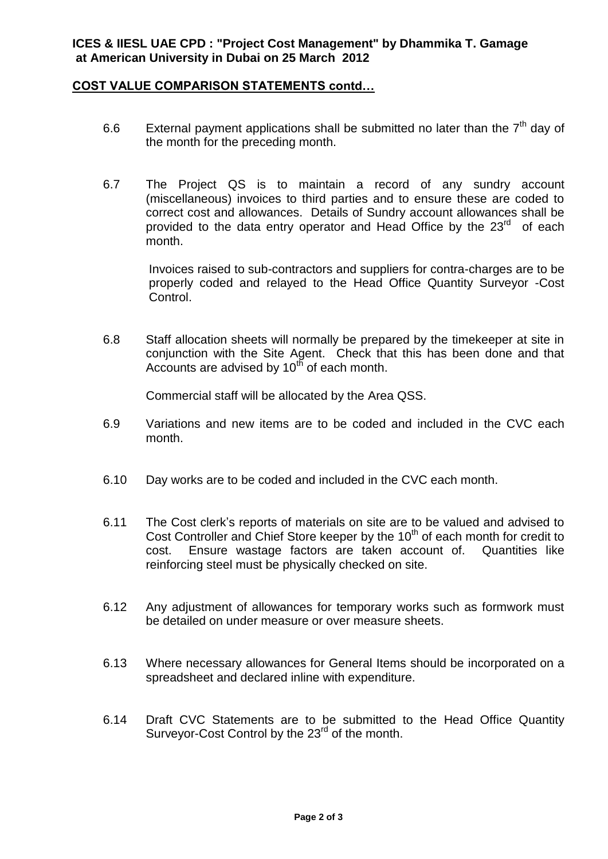# **COST VALUE COMPARISON STATEMENTS contd…**

- 6.6 External payment applications shall be submitted no later than the  $7<sup>th</sup>$  day of the month for the preceding month.
- 6.7 The Project QS is to maintain a record of any sundry account (miscellaneous) invoices to third parties and to ensure these are coded to correct cost and allowances. Details of Sundry account allowances shall be provided to the data entry operator and Head Office by the 23<sup>rd</sup> of each month.

Invoices raised to sub-contractors and suppliers for contra-charges are to be properly coded and relayed to the Head Office Quantity Surveyor -Cost Control.

6.8 Staff allocation sheets will normally be prepared by the timekeeper at site in conjunction with the Site Agent. Check that this has been done and that Accounts are advised by  $10<sup>th</sup>$  of each month.

Commercial staff will be allocated by the Area QSS.

- 6.9 Variations and new items are to be coded and included in the CVC each month.
- 6.10 Day works are to be coded and included in the CVC each month.
- 6.11 The Cost clerk's reports of materials on site are to be valued and advised to Cost Controller and Chief Store keeper by the  $10<sup>th</sup>$  of each month for credit to cost. Ensure wastage factors are taken account of. Quantities like reinforcing steel must be physically checked on site.
- 6.12 Any adjustment of allowances for temporary works such as formwork must be detailed on under measure or over measure sheets.
- 6.13 Where necessary allowances for General Items should be incorporated on a spreadsheet and declared inline with expenditure.
- 6.14 Draft CVC Statements are to be submitted to the Head Office Quantity Surveyor-Cost Control by the 23<sup>rd</sup> of the month.